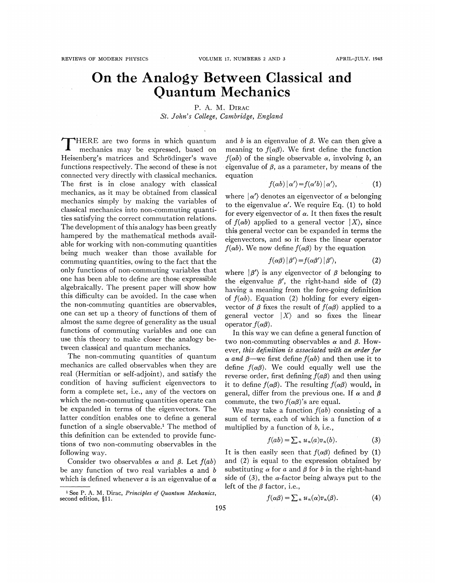## On the Analogy Between Classical and Quantum Mechanics

P. A. M. DIRAC St. John's College, Cambridge, England

<sup>~</sup> 'HERE are two forms in which quantum mechanics may be expressed, based on Heisenberg's matrices and Schrodinger's wave functions respectively. The second of these is not connected very directly with classical mechanics. The first is in close analogy with classical mechanics, as it may be obtained from classical mechanics simply by making the variables of classical mechanics into non-commuting quantities satisfying the correct commutation relations. The development of this analogy has been greatly hampered by the mathematical methods available for working with non-commuting quantities being much weaker than those available for commuting quantities, owing to the fact that the only functions of non-commuting variables that one has been able to define are those expressible algebraically. The present paper will show how this difficulty can be avoided. In the case when the non-commuting quantities are observables, one can set up a theory of functions of them of almost the same degree of generality as the usual functions of commuting variables and one can use this theory to make closer the analogy between classical and quantum mechanics.

The non-commuting quantities of quantum mechanics are called observables when they are real (Hermitian or self-adjoint), and satisfy the condition of having sufficient eigenvectors to form a complete set, i.e., any of the vectors on which the non-commuting quantities operate can be expanded in terms of the eigenvectors. The latter condition enables one to define a general function of a single observable.<sup>1</sup> The method of this definition can be extended to provide functions of two non-commuting observables in the following way.

Consider two observables  $\alpha$  and  $\beta$ . Let  $f(ab)$ be any function of two real variables  $a$  and  $b$ which is defined whenever a is an eigenvalue of  $\alpha$  and b is an eigenvalue of  $\beta$ . We can then give a meaning to  $f(\alpha\beta)$ . We first define the function  $f(\alpha b)$  of the single observable  $\alpha$ , involving b, an eigenvalue of  $\beta$ , as a parameter, by means of the equation

$$
f(\alpha b) | \alpha' \rangle = f(\alpha' b) | \alpha' \rangle, \tag{1}
$$

where  $|\alpha'\rangle$  denotes an eigenvector of  $\alpha$  belonging to the eigenvalue  $\alpha'$ . We require Eq. (1) to hold for every eigenvector of  $\alpha$ . It then fixes the result of  $f(\alpha b)$  applied to a general vector  $|X\rangle$ , since this general vector can be expanded in terms the eigenvectors, and so it fixes the linear operator  $f(\alpha b)$ . We now define  $f(\alpha \beta)$  by the equation

$$
f(\alpha\beta) | \beta' \rangle = f(\alpha\beta') | \beta' \rangle, \tag{2}
$$

where  $|\beta'\rangle$  is any eigenvector of  $\beta$  belonging to the eigenvalue  $\beta'$ , the right-hand side of (2) having a meaning from the fore-going definition of  $f(\alpha b)$ . Equation (2) holding for every eigenvector of  $\beta$  fixes the result of  $f(\alpha\beta)$  applied to a general vector  $|X\rangle$  and so fixes the linear operator  $f(\alpha\beta)$ .

In this way we can define a general function of two non-commuting observables  $\alpha$  and  $\beta$ . However, this definition is associated with an order for  $\alpha$  and  $\beta$ —we first define  $f(\alpha b)$  and then use it to define  $f(\alpha\beta)$ . We could equally well use the reverse order, first defining  $f(a\beta)$  and then using it to define  $f(\alpha\beta)$ . The resulting  $f(\alpha\beta)$  would, in general, differ from the previous one. If  $\alpha$  and  $\beta$ commute, the two  $f(\alpha\beta)$ 's are equal.

We may take a function  $f(ab)$  consisting of a sum of terms, each of which is a function of a multiplied by a function of  $b$ , i.e.,

$$
f(ab) = \sum_n u_n(a)v_n(b).
$$
 (3)

It is then easily seen that  $f(\alpha\beta)$  defined by (1) and (2) is equal to the expression obtained by substituting  $\alpha$  for a and  $\beta$  for b in the right-hand side of (3), the  $\alpha$ -factor being always put to the left of the  $\beta$  factor, i.e.,

$$
f(\alpha\beta) = \sum_n u_n(\alpha)v_n(\beta). \tag{4}
$$

<sup>&</sup>lt;sup>1</sup> See P. A. M. Dirac, Principles of Quantum Mechanics second edition, §11.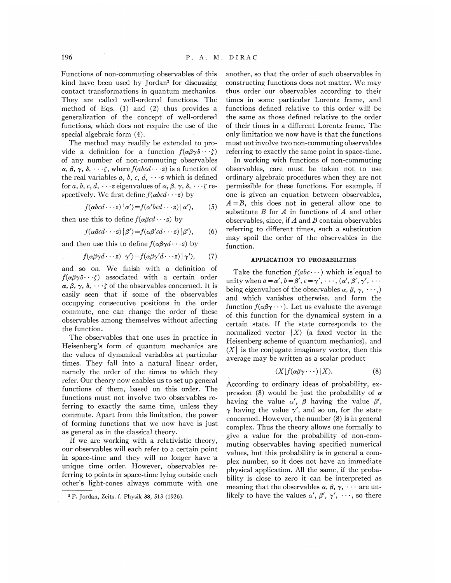Functions of non-commuting observables of this kind have been used by Jordan' for discussing contact transformations in quantum mechanics. They are called well-ordered functions. The method of Eqs. (1) and (2) thus provides a generalization of the concept of well-ordered functions, which does not require the use of the special algebraic form (4).

The method may readily be extended to provide a definition for a function  $f(\alpha\beta\gamma\delta\cdots\zeta)$ of any number of non-commuting observables  $\alpha$ ,  $\beta$ ,  $\gamma$ ,  $\delta$ ,  $\cdots$ ; where  $f(abcd\cdots z)$  is a function of the real variables a, b, c, d,  $\cdots$  which is defined for  $a, b, c, d, \cdots z$  eigenvalues of  $\alpha, \beta, \gamma, \delta, \cdots \zeta$  respectively. We first define  $f(\alpha b c d \cdots z)$  by

$$
f(\alpha bcd\cdots z) | \alpha' \rangle = f(\alpha' bcd\cdots z) | \alpha' \rangle, \qquad (5)
$$

then use this to define  $f(\alpha \beta c d \cdots z)$  by

$$
f(\alpha \beta c d \cdot \cdot \cdot z) | \beta' \rangle = f(\alpha \beta' c d \cdot \cdot \cdot z) | \beta' \rangle, \qquad (6)
$$

and then use this to define  $f(\alpha\beta\gamma d\cdots z)$  by

$$
f(\alpha\beta\gamma d\cdots z) | \gamma' \rangle = f(\alpha\beta\gamma' d\cdots z) | \gamma' \rangle, \qquad (7)
$$

and so on. We finish with a definition of  $f(\alpha\beta\gamma\delta\cdots\zeta)$  associated with a certain order  $\alpha, \beta, \gamma, \delta, \cdots \zeta$  of the observables concerned. It is easily seen that if some of the observables occupying consecutive positions in the order commute, one can change the order of these observables among themselves without affecting the function.

The observables that one uses in practice in Heisenberg's form of quantum mechanics are the values of dynamical variables at particular times. They fall into a natural linear order, namely the order of the times to which they refer. Our theory now enables us to set up general functions of them, based on this order. The functions must not involve two observables referring to exactly the same time, unless they commute. Apart from this limitation, the power of forming functions that we now have is just as general as in the classical theory.

If we are working with a relativistic theory, our observables will each refer to a certain point in space-time and they will no longer have a unique time order. However, observables referring to points in space-time lying outside each other's light-cones always commute with one another, so that the order of such observables in constructing functions does not matter. We may thus order our observables according to their times in some particular Lorentz frame, and functions defined relative to this order will be the same as those defined relative to the order of their times in a different Lorentz frame. The only limitation we now have is that the functions must not involve two non-commuting observables referring to exactly the same point in space-time.

In working with functions of non-commuting observables, care must be taken not to use ordinary algebraic procedures when they are not permissible for these functions. For example, if one is given an equation between observables,  $A = B$ , this does not in general allow one to substitute  $B$  for  $A$  in functions of  $A$  and other observables, since, if  $A$  and  $B$  contain observables referring to different times, such a substitution may spoil the order of the observables in the function.

## APPLICATION TO PROBABILITIES

Take the function  $f(abc \cdots)$  which is equal to unity when  $a = \alpha'$ ,  $b = \beta'$ ,  $c = \gamma'$ ,  $\cdots$ ,  $(\alpha', \beta', \gamma')$ being eigenvalues of the observables  $\alpha, \beta, \gamma, \cdots$ ) and which vanishes otherwise, and form the function  $f(\alpha\beta\gamma \cdots)$ . Let us evaluate the average of this function for the dynamical system in a certain state. If the state corresponds to the normalized vector  $|X\rangle$  (a fixed vector in the Heisenberg scheme of quantum mechanics), and  $\langle X \rangle$  is the conjugate imaginary vector, then this average may be written as a scalar product

$$
\langle X|f(\alpha\beta\gamma\cdots)|X\rangle. \tag{8}
$$

According to ordinary ideas of probability, expression (8) would be just the probability of  $\alpha$ having the value  $\alpha'$ ,  $\beta$  having the value  $\beta'$ ,  $\gamma$  having the value  $\gamma'$ , and so on, for the state concerned. However, the number (8) is in general complex. Thus the theory allows one formally to give a value for the probability of non-commuting observables having specified numerical values, but this probability is in general a complex number, so it does not have an immediate physical application. All the same, if the probability is close to zero it can be interpreted as meaning that the observables  $\alpha$ ,  $\beta$ ,  $\gamma$ ,  $\cdots$  are unlikely to have the values  $\alpha'$ ,  $\beta'$ ,  $\gamma'$ ,  $\cdots$ , so there

<sup>&#</sup>x27; P. Jordan, Zeits. f. Physik 38, 513 (1926).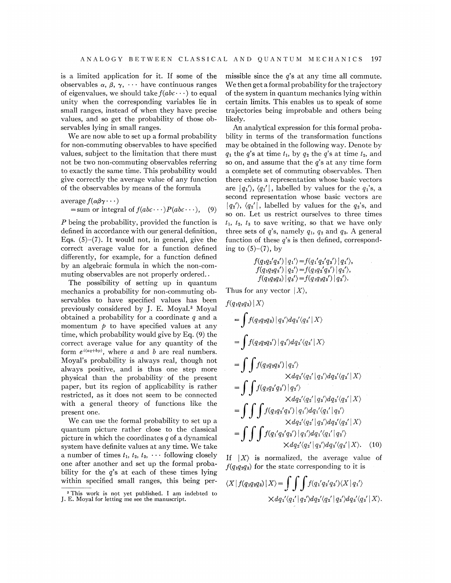is a limited application for it. If some of the observables  $\alpha$ ,  $\beta$ ,  $\gamma$ ,  $\cdots$  have continuous ranges of eigenvalues, we should take  $f(abc \cdots)$  to equal unity when the corresponding variables lie in small ranges, instead of when they have precise values, and so get the probability of those observables lying in small ranges.

We are now able to set up a formal probability for non-commuting observables to have specified values, subject to the limitation that there must not be two non-commuting observables referring to exactly the same time. This probability would give correctly the average value of any function of the observables by means of the formula

average 
$$
f(\alpha\beta\gamma \cdots)
$$
  
= sum or integral of  $f(abc \cdots)P(abc \cdots)$ , (9)

 $P$  being the probability, provided the function is defined in accordance with our general definition, Eqs.  $(5)-(7)$ . It would not, in general, give the correct average value for a function defined differently, for example, for a function defined by an. algebraic formula in which the non-commuting observables are not properly ordered...

The possibility of setting up in quantum mechanics a probability for non-commuting observables to have specified values has been previously considered by J. E. Moyal.<sup>3</sup> Moyal obtained a probability for a coordinate  $q$  and a momentum  $\dot{p}$  to have specified values at any time, which probability would give by Eq. (9) the correct average value for any quantity of the form  $e^{i(aq+bp)}$ , where a and b are real numbers. Moyal's probability is always real, though not always positive, and is thus one step more physical than the probability of the present paper, but its region of applicability is rather restricted, as it does not seem to be connected with a general theory of functions like the present one.

We can use the formal probability to set up a quantum picture rather close to the classical picture in which the coordinates  $q$  of a dynamical system have definite values at any time. We take a number of times  $t_1$ ,  $t_2$ ,  $t_3$ ,  $\cdots$  following closely one after another and set up the formal probability for the  $q$ 's at each of these times lying within specified small ranges, this being permissible since the  $q$ 's at any time all commute. We then get a formal probability for the trajectory of the system in quantum mechanics lying within certain limits. This enables us to speak of some trajectories being improbable and others being likely.

An analytical expression for this formal probability in terms of the transformation functions may be obtained in the following way. Denote by  $q_1$  the q's at time  $t_1$ , by  $q_2$  the q's at time  $t_2$ , and so on, and assume that the  $q$ 's at any time form a complete set of commuting observables. Then there exists a representation whose basic vectors are  $|q_1\rangle$ ,  $\langle q_1'|$ , labelled by values for the  $q_1$ 's, a second representation whose basic vectors are  $|q_2\rangle$ ,  $\langle q_2'|$ , labelled by values for the  $q_2'$ 's, and so on. Let us restrict ourselves to three times  $t_1$ ,  $t_2$ ,  $t_3$  to save writing, so that we have only three sets of  $q$ 's, namely  $q_1$ ,  $q_2$  and  $q_3$ . A general function of these  $q$ 's is then defined, corresponding to  $(5)-(7)$ , by

$$
f(q_1q_2'q_3')|q_1'\rangle = f(q_1'q_2'q_3')|q_1'\rangle,
$$
  
\n
$$
f(q_1q_2q_3')|q_2'\rangle = f(q_1q_2'q_3')|q_2'\rangle,
$$
  
\n
$$
f(q_1q_2q_3)|q_3'\rangle = f(q_1q_2q_3')|q_3'\rangle.
$$

Thus for any vector  $|X\rangle$ ,

$$
f(q_1q_2q_3) | X \rangle
$$
  
= 
$$
\int f(q_1q_2q_3) | q_3 \rangle dq_3 \langle q_3' | X \rangle
$$
  
= 
$$
\int f(q_1q_2q_3') | q_3 \rangle dq_3 \langle q_3' | X \rangle
$$
  
= 
$$
\int \int f(q_1q_2q_3') | q_2 \rangle
$$
  

$$
\times dq_2 \langle q_2' | q_3 \rangle dq_3 \langle q_3' | X \rangle
$$
  
= 
$$
\int \int f(q_1q_2'q_3') | q_2 \rangle
$$
  

$$
\times dq_2 \langle q_2' | q_3 \rangle dq_3 \langle q_3' | X \rangle
$$
  
= 
$$
\int \int \int f(q_1q_2'q_3') | q_1 \rangle dq_1 \langle q_1' | q_2' \rangle
$$
  

$$
\times dq_2 \langle q_2' | q_3 \rangle dq_3 \langle q_3' | X \rangle
$$
  
= 
$$
\int \int \int f(q_1'q_2'q_3') | q_1 \rangle dq_1 \langle q_1' | q_2' \rangle
$$
  

$$
\times dq_2 \langle q_2' | q_3 \rangle dq_3 \langle q_3' | X \rangle.
$$
 (10)

If  $|X\rangle$  is normalized, the average value of  $f(q_1q_2q_3)$  for the state corresponding to it is

$$
\langle X | f(q_1 q_2 q_3) | X \rangle = \int \int \int f(q_1 q_2 q_3') \langle X | q_1' \rangle
$$
  
 
$$
\times dq_1' \langle q_1' | q_2' \rangle dq_2' \langle q_2' | q_3' \rangle dq_3' \langle q_3' | X \rangle.
$$

<sup>&#</sup>x27;This work is not yet published. I am indebted to J. E. Moyal for letting me see the manuscript.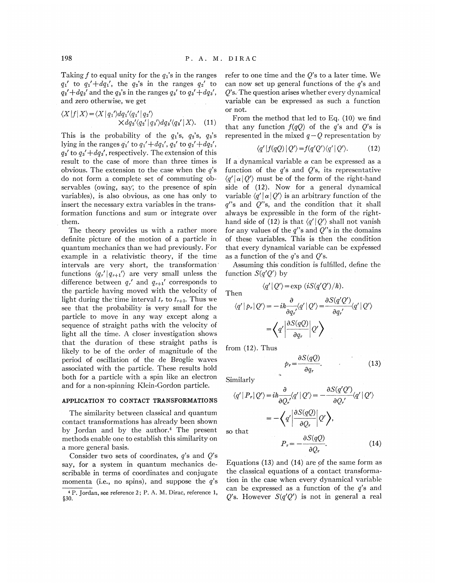Taking f to equal unity for the  $q_1$ 's in the ranges  $q_1'$  to  $q_1' + dq_1'$ , the  $q_2$ 's in the ranges  $q_2'$  to  $q_2' + dq_2'$  and the  $q_3'$ s in the ranges  $q_3'$  to  $q_3' + dq_3'$ , and zero otherwise, we get

$$
\langle X|f|X\rangle = \langle X|q_1'\rangle dq_1'\langle q_1'|q_2'\rangle
$$
  
 
$$
\times dq_2'\langle q_2'|q_3'\rangle dq_3'\langle q_3'|X\rangle. \quad (11)
$$

This is the probability of the  $q_1$ 's,  $q_2$ 's,  $q_3$ 's lying in the ranges  $q_1'$  to  $q_1' + dq_1'$ ,  $q_2'$  to  $q_2' + dq_2'$ ,  $q_3'$  to  $q_3' + dq_3'$ , respectively. The extension of this result to the case of more than three times is obvious. The extension to the case when the  $q$ 's do not form a complete set of commuting observables (owing, say, to the presence of spin variables), is also obvious, as one has only to insert the necessary extra variables in the transformation functions and sum or integrate over them.

The theory provides us with a rather more definite picture of the motion of a particle in quantum mechanics than we had previously. For example in a relativistic theory, if the time intervals are very short, the transformation ' functions  $\langle q'_r | q'_{r+1} \rangle$  are very small unless the difference between  $q_r'$  and  $q_{r+1}'$  corresponds to the particle having moved with the velocity of light during the time interval  $t_r$  to  $t_{r+1}$ . Thus we see that the probability is very small for the particle to move in any way except along a sequence of straight paths with the velocity of light all the time. A closer investigation shows that the duration of these straight paths is likely to be of the order of magnitude of the period of oscillation of the de Broglie waves associated with the particle. These results hold both for a particle with a spin like an electron and for a non-spinning Klein-Gordon particle.

## APPLICATION TO CONTACT TRANSFORMATIONS

The similarity between classical and quantum contact transformations has already been shown by Jordan and by the author.<sup>4</sup> The present methods enable one to establish this similarity on a more general basis.

Consider two sets of coordinates,  $q$ 's and  $Q$ 's say, for a system in quantum mechanics describable in terms of coordinates and conjugate momenta (i.e., no spins), and suppose the  $q$ 's refer to one time and the  $O$ 's to a later time. We can now set up general functions of the q's and  $Q$ 's. The question arises whether every dynamical variable can be expressed as such a function or not.

From the method that led to Eq. (10) we find that any function  $f(qQ)$  of the q's and Q's is represented in the mixed  $q - Q$  representation by

$$
\langle q'|f(qQ)|Q'\rangle = f(q'Q')\langle q'|Q'\rangle. \tag{12}
$$

If a dynamical variable  $\alpha$  can be expressed as a function of the  $q$ 's and  $Q$ 's, its representative  $\langle q' | \alpha | Q' \rangle$  must be of the form of the right-hand side of (12). Now for a general dynamical variable  $\langle q'|\,\alpha\,|\,Q'\rangle$  is an arbitrary function of the  $q''s$  and  $Q''s$ , and the condition that it shall always be expressible in the form of the righthand side of (12) is that  $\langle q' | Q' \rangle$  shall not vanish for any values of the  $q''s$  and  $Q''s$  in the domains of these variables. This is then the condition that every dynamical variable can be expressed as a function of the  $q$ 's and  $Q$ 's.

Assuming this condition is fulfilled, define the function  $S(q'Q')$  by

$$
\langle q' | Q' \rangle = \exp(iS(q'Q')/h).
$$

Then

$$
\langle q' | Q' \rangle = \exp(iS(q'Q')/\hbar).
$$
  
then  

$$
\langle q' | p_r | Q' \rangle = -i\hbar \frac{\partial}{\partial q'_r} \langle q' | Q' \rangle = \frac{\partial S(q'Q')}{\partial q'_r} \langle q' | Q' \rangle
$$

$$
= \langle q' | \frac{\partial S(qQ)}{\partial q_r} | Q' \rangle
$$

from (12). Thus

$$
p_r = \frac{\partial S(qQ)}{\partial q_r}.\tag{13}
$$

Similarly

multiply

\n
$$
\langle q' | P_r | Q' \rangle = i \hbar \frac{\partial}{\partial Q_r'} \langle q' | Q' \rangle = -\frac{\partial S(q'Q')}{\partial Q_r'} \langle q' | Q' \rangle
$$
\n
$$
= -\left\langle q' \left| \frac{\partial S(qQ)}{\partial Q_r} \right| Q' \right\rangle,
$$
\nthat

\n
$$
\frac{\partial S(qQ)}{\partial Q_r} \left| Q' \right\rangle
$$

 $SO<sub>5</sub>$ 

$$
P_r = -\frac{\partial S(qQ)}{\partial Q_r}.\tag{14}
$$

Equations (13) and (14) are of the same form as the classical equations of a contact transformation in the case when every dynamical variable can be expressed as a function of the  $q$ 's and Q's. However  $S(q'Q')$  is not in general a real

<sup>&#</sup>x27; P. Jordan, see reference 2; P. A. M. Dirac, reference 1, \$30.